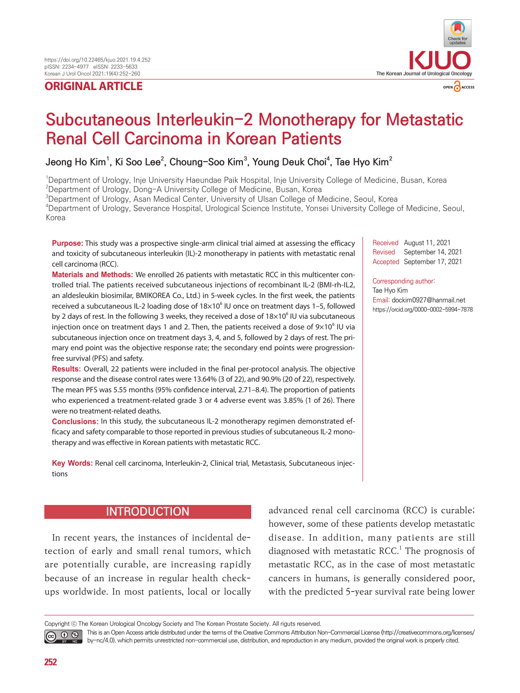## **ORIGINAL ARTICLE**



# Subcutaneous Interleukin-2 Monotherapy for Metastatic Renal Cell Carcinoma in Korean Patients

## **Jeong Ho Kim1 , Ki Soo Lee<sup>2</sup> , Choung-Soo Kim3 , Young Deuk Choi4 , Tae Hyo Kim2**

1 Department of Urology, Inje University Haeundae Paik Hospital, Inje University College of Medicine, Busan, Korea

 $^{2}$ Department of Urology, Dong-A University College of Medicine, Busan, Korea

3 Department of Urology, Asan Medical Center, University of Ulsan College of Medicine, Seoul, Korea

4 Department of Urology, Severance Hospital, Urological Science Institute, Yonsei University College of Medicine, Seoul, Korea

**Purpose:** This study was a prospective single-arm clinical trial aimed at assessing the efficacy and toxicity of subcutaneous interleukin (IL)-2 monotherapy in patients with metastatic renal cell carcinoma (RCC).

Received August 11, 2021 Revised September 14, 2021 Accepted September 17, 2021

#### Corresponding author:

Tae Hyo Kim Email: dockim0927@hanmail.net https://orcid.org/0000-0002-5994-7878

**Materials and Methods:** We enrolled 26 patients with metastatic RCC in this multicenter controlled trial. The patients received subcutaneous injections of recombinant IL-2 (BMI-rh-IL2, an aldesleukin biosimilar, BMIKOREA Co., Ltd.) in 5-week cycles. In the first week, the patients received a subcutaneous IL-2 loading dose of  $18\times10^6$  IU once on treatment days 1-5, followed by 2 days of rest. In the following 3 weeks, they received a dose of  $18\times10^6$  IU via subcutaneous injection once on treatment days 1 and 2. Then, the patients received a dose of  $9\times10^6$  IU via subcutaneous injection once on treatment days 3, 4, and 5, followed by 2 days of rest. The primary end point was the objective response rate; the secondary end points were progressionfree survival (PFS) and safety.

**Results:** Overall, 22 patients were included in the final per-protocol analysis. The objective response and the disease control rates were 13.64% (3 of 22), and 90.9% (20 of 22), respectively. The mean PFS was 5.55 months (95% confidence interval, 2.71–8.4). The proportion of patients who experienced a treatment-related grade 3 or 4 adverse event was 3.85% (1 of 26). There were no treatment-related deaths.

**Conclusions:** In this study, the subcutaneous IL-2 monotherapy regimen demonstrated efficacy and safety comparable to those reported in previous studies of subcutaneous IL-2 monotherapy and was effective in Korean patients with metastatic RCC.

**Key Words:** Renal cell carcinoma, Interleukin-2, Clinical trial, Metastasis, Subcutaneous injections

## **INTRODUCTION**

In recent years, the instances of incidental detection of early and small renal tumors, which are potentially curable, are increasing rapidly because of an increase in regular health checkups worldwide. In most patients, local or locally advanced renal cell carcinoma (RCC) is curable; however, some of these patients develop metastatic disease. In addition, many patients are still diagnosed with metastatic RCC. $<sup>1</sup>$  The prognosis of</sup> metastatic RCC, as in the case of most metastatic cancers in humans, is generally considered poor, with the predicted 5-year survival rate being lower

Copyright ⓒ The Korean Urological Oncology Society and The Korean Prostate Society. All riguts reserved.

This is an Open Access article distributed under the terms of the Creative Commons Attribution Non-Commercial License (http://creativecommons.org/licenses/ ெ 0 ® by-nc/4.0). which permits unrestricted non-commercial use, distribution, and reproduction in any medium, provided the original work is properly cited.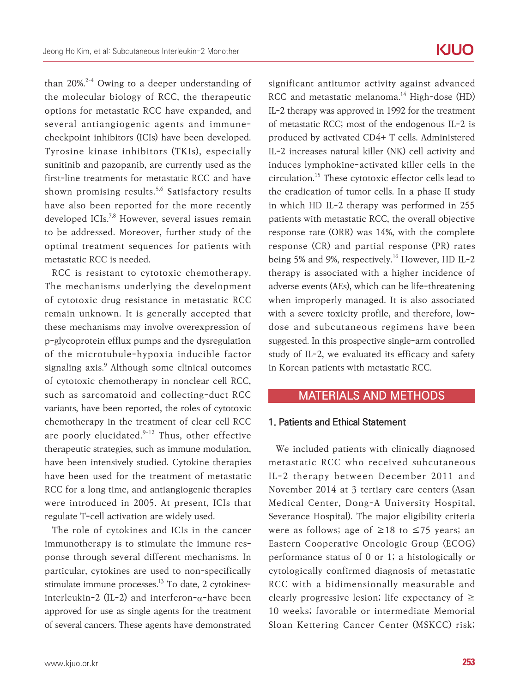than  $20\%^{2-4}$  Owing to a deeper understanding of the molecular biology of RCC, the therapeutic options for metastatic RCC have expanded, and several antiangiogenic agents and immunecheckpoint inhibitors (ICIs) have been developed. Tyrosine kinase inhibitors (TKIs), especially sunitinib and pazopanib, are currently used as the first-line treatments for metastatic RCC and have shown promising results.<sup>5,6</sup> Satisfactory results have also been reported for the more recently developed ICIs.<sup>7,8</sup> However, several issues remain to be addressed. Moreover, further study of the optimal treatment sequences for patients with metastatic RCC is needed.

RCC is resistant to cytotoxic chemotherapy. The mechanisms underlying the development of cytotoxic drug resistance in metastatic RCC remain unknown. It is generally accepted that these mechanisms may involve overexpression of p-glycoprotein efflux pumps and the dysregulation of the microtubule-hypoxia inducible factor signaling axis.<sup>9</sup> Although some clinical outcomes of cytotoxic chemotherapy in nonclear cell RCC, such as sarcomatoid and collecting-duct RCC variants, have been reported, the roles of cytotoxic chemotherapy in the treatment of clear cell RCC are poorly elucidated.<sup>9-12</sup> Thus, other effective therapeutic strategies, such as immune modulation, have been intensively studied. Cytokine therapies have been used for the treatment of metastatic RCC for a long time, and antiangiogenic therapies were introduced in 2005. At present, ICIs that regulate T-cell activation are widely used.

The role of cytokines and ICIs in the cancer immunotherapy is to stimulate the immune response through several different mechanisms. In particular, cytokines are used to non-specifically stimulate immune processes. $13$  To date, 2 cytokinesinterleukin-2 (IL-2) and interferon-α-have been approved for use as single agents for the treatment of several cancers. These agents have demonstrated

significant antitumor activity against advanced RCC and metastatic melanoma.<sup>14</sup> High-dose (HD) IL-2 therapy was approved in 1992 for the treatment of metastatic RCC; most of the endogenous IL-2 is produced by activated CD4+ T cells. Administered IL-2 increases natural killer (NK) cell activity and induces lymphokine-activated killer cells in the circulation.15 These cytotoxic effector cells lead to the eradication of tumor cells. In a phase II study in which HD IL-2 therapy was performed in 255 patients with metastatic RCC, the overall objective response rate (ORR) was 14%, with the complete response (CR) and partial response (PR) rates being 5% and 9%, respectively.<sup>16</sup> However, HD IL-2 therapy is associated with a higher incidence of adverse events (AEs), which can be life-threatening when improperly managed. It is also associated with a severe toxicity profile, and therefore, lowdose and subcutaneous regimens have been suggested. In this prospective single-arm controlled study of IL-2, we evaluated its efficacy and safety in Korean patients with metastatic RCC.

### MATERIALS AND METHODS

#### 1. Patients and Ethical Statement

We included patients with clinically diagnosed metastatic RCC who received subcutaneous IL-2 therapy between December 2011 and November 2014 at 3 tertiary care centers (Asan Medical Center, Dong-A University Hospital, Severance Hospital). The major eligibility criteria were as follows; age of  $\geq$ 18 to  $\leq$ 75 years; an Eastern Cooperative Oncologic Group (ECOG) performance status of 0 or 1; a histologically or cytologically confirmed diagnosis of metastatic RCC with a bidimensionally measurable and clearly progressive lesion; life expectancy of  $\geq$ 10 weeks; favorable or intermediate Memorial Sloan Kettering Cancer Center (MSKCC) risk;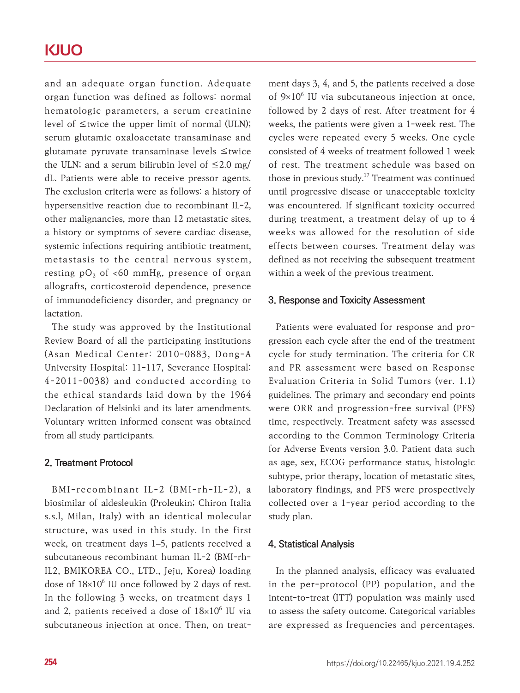## **KJUO**

and an adequate organ function. Adequate organ function was defined as follows: normal hematologic parameters, a serum creatinine level of ≤twice the upper limit of normal (ULN); serum glutamic oxaloacetate transaminase and glutamate pyruvate transaminase levels ≤twice the ULN; and a serum bilirubin level of  $\leq$ 2.0 mg/ dL. Patients were able to receive pressor agents. The exclusion criteria were as follows: a history of hypersensitive reaction due to recombinant IL-2, other malignancies, more than 12 metastatic sites, a history or symptoms of severe cardiac disease, systemic infections requiring antibiotic treatment, metastasis to the central nervous system, resting pO<sub>2</sub> of <60 mmHg, presence of organ allografts, corticosteroid dependence, presence of immunodeficiency disorder, and pregnancy or lactation.

The study was approved by the Institutional Review Board of all the participating institutions (Asan Medical Center: 2010-0883, Dong-A University Hospital: 11-117, Severance Hospital: 4-2011-0038) and conducted according to the ethical standards laid down by the 1964 Declaration of Helsinki and its later amendments. Voluntary written informed consent was obtained from all study participants.

#### 2. Treatment Protocol

BMI-recombinant IL-2 (BMI-rh-IL-2), a biosimilar of aldesleukin (Proleukin; Chiron Italia s.s.l, Milan, Italy) with an identical molecular structure, was used in this study. In the first week, on treatment days 1–5, patients received a subcutaneous recombinant human IL-2 (BMI-rh-IL2, BMIKOREA CO., LTD., Jeju, Korea) loading dose of  $18 \times 10^6$  IU once followed by 2 days of rest. In the following 3 weeks, on treatment days 1 and 2, patients received a dose of  $18\times10^6$  IU via subcutaneous injection at once. Then, on treatment days 3, 4, and 5, the patients received a dose of  $9\times10^6$  IU via subcutaneous injection at once, followed by 2 days of rest. After treatment for 4 weeks, the patients were given a 1-week rest. The cycles were repeated every 5 weeks. One cycle consisted of 4 weeks of treatment followed 1 week of rest. The treatment schedule was based on those in previous study.<sup>17</sup> Treatment was continued until progressive disease or unacceptable toxicity was encountered. If significant toxicity occurred during treatment, a treatment delay of up to 4 weeks was allowed for the resolution of side effects between courses. Treatment delay was defined as not receiving the subsequent treatment within a week of the previous treatment.

#### 3. Response and Toxicity Assessment

Patients were evaluated for response and progression each cycle after the end of the treatment cycle for study termination. The criteria for CR and PR assessment were based on Response Evaluation Criteria in Solid Tumors (ver. 1.1) guidelines. The primary and secondary end points were ORR and progression-free survival (PFS) time, respectively. Treatment safety was assessed according to the Common Terminology Criteria for Adverse Events version 3.0. Patient data such as age, sex, ECOG performance status, histologic subtype, prior therapy, location of metastatic sites, laboratory findings, and PFS were prospectively collected over a 1-year period according to the study plan.

#### 4. Statistical Analysis

In the planned analysis, efficacy was evaluated in the per-protocol (PP) population, and the intent-to-treat (ITT) population was mainly used to assess the safety outcome. Categorical variables are expressed as frequencies and percentages.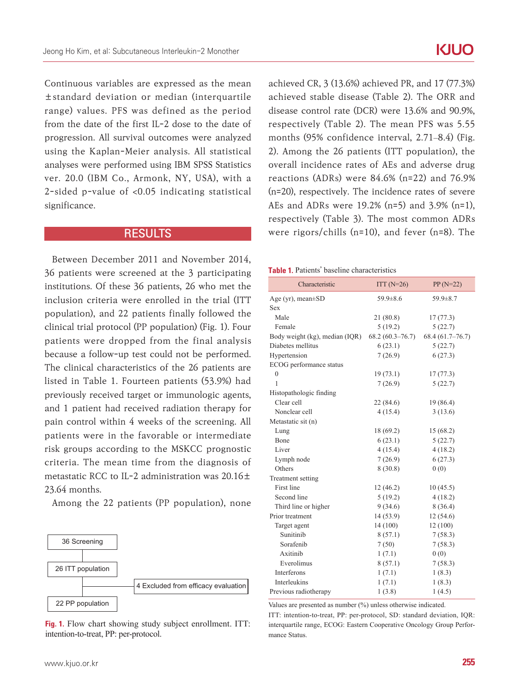Continuous variables are expressed as the mean ±standard deviation or median (interquartile range) values. PFS was defined as the period from the date of the first IL-2 dose to the date of progression. All survival outcomes were analyzed using the Kaplan-Meier analysis. All statistical analyses were performed using IBM SPSS Statistics ver. 20.0 (IBM Co., Armonk, NY, USA), with a 2-sided p-value of **<**0.05 indicating statistical significance.

#### RESULTS

Between December 2011 and November 2014, 36 patients were screened at the 3 participating institutions. Of these 36 patients, 26 who met the inclusion criteria were enrolled in the trial (ITT population), and 22 patients finally followed the clinical trial protocol (PP population) (Fig. 1). Four patients were dropped from the final analysis because a follow-up test could not be performed. The clinical characteristics of the 26 patients are listed in Table 1. Fourteen patients (53.9%) had previously received target or immunologic agents, and 1 patient had received radiation therapy for pain control within 4 weeks of the screening. All patients were in the favorable or intermediate risk groups according to the MSKCC prognostic criteria. The mean time from the diagnosis of metastatic RCC to IL-2 administration was 20.16± 23.64 months.

Among the 22 patients (PP population), none



Fig. 1. Flow chart showing study subject enrollment. ITT: intention-to-treat, PP: per-protocol.

achieved CR, 3 (13.6%) achieved PR, and 17 (77.3%) achieved stable disease (Table 2). The ORR and disease control rate (DCR) were 13.6% and 90.9%, respectively (Table 2). The mean PFS was 5.55 months (95% confidence interval, 2.71–8.4) (Fig. 2). Among the 26 patients (ITT population), the overall incidence rates of AEs and adverse drug reactions (ADRs) were 84.6% (n=22) and 76.9% (n=20), respectively. The incidence rates of severe AEs and ADRs were 19.2% (n=5) and 3.9% (n=1), respectively (Table 3). The most common ADRs were rigors/chills (n=10), and fever (n=8). The

#### Table 1. Patients' baseline characteristics

| Characteristic                 | $ITT(N=26)$       | $PP(N=22)$        |
|--------------------------------|-------------------|-------------------|
| Age (yr), mean $\pm$ SD        | $59.9 \pm 8.6$    | $59.9 \pm 8.7$    |
| Sex                            |                   |                   |
| Male                           | 21 (80.8)         | 17(77.3)          |
| Female                         | 5(19.2)           | 5(22.7)           |
| Body weight (kg), median (IQR) | $68.2(60.3-76.7)$ | $68.4(61.7-76.7)$ |
| Diabetes mellitus              | 6(23.1)           | 5(22.7)           |
| Hypertension                   | 7(26.9)           | 6(27.3)           |
| ECOG performance status        |                   |                   |
| $\mathbf{0}$                   | 19(73.1)          | 17(77.3)          |
| 1                              | 7(26.9)           | 5(22.7)           |
| Histopathologic finding        |                   |                   |
| Clear cell                     | 22 (84.6)         | 19 (86.4)         |
| Nonclear cell                  | 4(15.4)           | 3(13.6)           |
| Metastatic sit (n)             |                   |                   |
| Lung                           | 18(69.2)          | 15(68.2)          |
| Bone                           | 6(23.1)           | 5(22.7)           |
| Liver                          | 4(15.4)           | 4(18.2)           |
| Lymph node                     | 7(26.9)           | 6(27.3)           |
| Others                         | 8(30.8)           | 0(0)              |
| Treatment setting              |                   |                   |
| First line                     | 12(46.2)          | 10(45.5)          |
| Second line                    | 5(19.2)           | 4(18.2)           |
| Third line or higher           | 9(34.6)           | 8(36.4)           |
| Prior treatment                | 14(53.9)          | 12(54.6)          |
| Target agent                   | 14 (100)          | 12(100)           |
| Sunitinib                      | 8(57.1)           | 7(58.3)           |
| Sorafenib                      | 7(50)             | 7(58.3)           |
| Axitinib                       | 1(7.1)            | 0(0)              |
| Everolimus                     | 8(57.1)           | 7(58.3)           |
| <b>Interferons</b>             | 1(7.1)            | 1(8.3)            |
| <b>Interleukins</b>            | 1(7.1)            | 1(8.3)            |
| Previous radiotherapy          | 1(3.8)            | 1(4.5)            |

Values are presented as number (%) unless otherwise indicated.

ITT: intention-to-treat, PP: per-protocol, SD: standard deviation, IQR: interquartile range, ECOG: Eastern Cooperative Oncology Group Performance Status.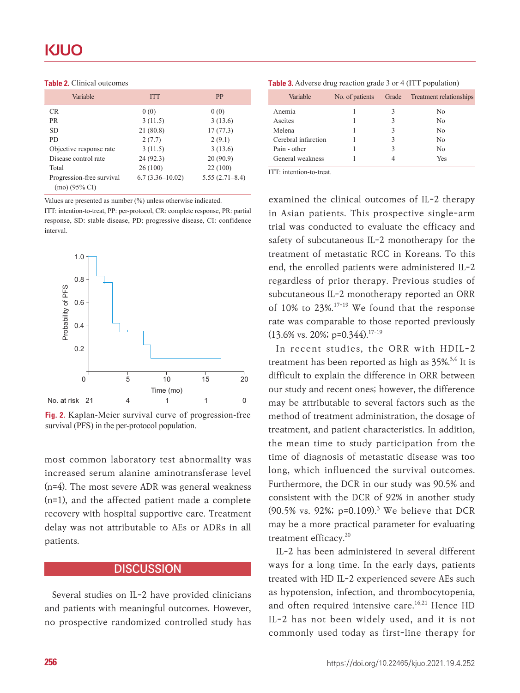| Variable                                   | <b>ITT</b>        | <b>PP</b>          |
|--------------------------------------------|-------------------|--------------------|
| <b>CR</b>                                  | 0(0)              | 0(0)               |
| <b>PR</b>                                  | 3(11.5)           | 3(13.6)            |
| SD.                                        | 21(80.8)          | 17(77.3)           |
| P <sub>D</sub>                             | 2(7.7)            | 2(9.1)             |
| Objective response rate                    | 3(11.5)           | 3(13.6)            |
| Disease control rate                       | 24(92.3)          | 20(90.9)           |
| Total                                      | 26(100)           | 22 (100)           |
| Progression-free survival<br>(mo) (95% CI) | $6.7(3.36-10.02)$ | $5.55(2.71 - 8.4)$ |

Values are presented as number (%) unless otherwise indicated.

ITT: intention-to-treat, PP: per-protocol, CR: complete response, PR: partial response, SD: stable disease, PD: progressive disease, CI: confidence interval.



Fig. 2. Kaplan-Meier survival curve of progression-free survival (PFS) in the per-protocol population.

most common laboratory test abnormality was increased serum alanine aminotransferase level (n=4). The most severe ADR was general weakness (n=1), and the affected patient made a complete recovery with hospital supportive care. Treatment delay was not attributable to AEs or ADRs in all patients.

### **DISCUSSION**

Several studies on IL-2 have provided clinicians and patients with meaningful outcomes. However, no prospective randomized controlled study has

| <b>Table 3.</b> Adverse drug reaction grade 3 or 4 (ITT population) |  |  |  |  |  |
|---------------------------------------------------------------------|--|--|--|--|--|
|---------------------------------------------------------------------|--|--|--|--|--|

| Variable            | No. of patients |   | Grade Treatment relationships |
|---------------------|-----------------|---|-------------------------------|
| Anemia              |                 |   | No                            |
| Ascites             |                 |   | No                            |
| Melena              |                 | 3 | N <sub>0</sub>                |
| Cerebral infarction |                 |   | No                            |
| Pain - other        |                 | 3 | $\rm N_{0}$                   |
| General weakness    |                 |   | Yes                           |

ITT: intention-to-treat.

examined the clinical outcomes of IL-2 therapy in Asian patients. This prospective single-arm trial was conducted to evaluate the efficacy and safety of subcutaneous IL-2 monotherapy for the treatment of metastatic RCC in Koreans. To this end, the enrolled patients were administered IL-2 regardless of prior therapy. Previous studies of subcutaneous IL-2 monotherapy reported an ORR of 10% to 23%.<sup>17-19</sup> We found that the response rate was comparable to those reported previously  $(13.6\% \text{ vs. } 20\%; \text{ p=0.344}).^{17-19}$ 

In recent studies, the ORR with HDIL-2 treatment has been reported as high as  $35\%^{3,4}$  It is difficult to explain the difference in ORR between our study and recent ones; however, the difference may be attributable to several factors such as the method of treatment administration, the dosage of treatment, and patient characteristics. In addition, the mean time to study participation from the time of diagnosis of metastatic disease was too long, which influenced the survival outcomes. Furthermore, the DCR in our study was 90.5% and consistent with the DCR of 92% in another study  $(90.5\% \text{ vs. } 92\%; \text{ p=0.109}).$ <sup>3</sup> We believe that DCR may be a more practical parameter for evaluating treatment efficacy.<sup>20</sup>

IL-2 has been administered in several different ways for a long time. In the early days, patients treated with HD IL-2 experienced severe AEs such as hypotension, infection, and thrombocytopenia, and often required intensive care.<sup>16,21</sup> Hence HD IL-2 has not been widely used, and it is not commonly used today as first-line therapy for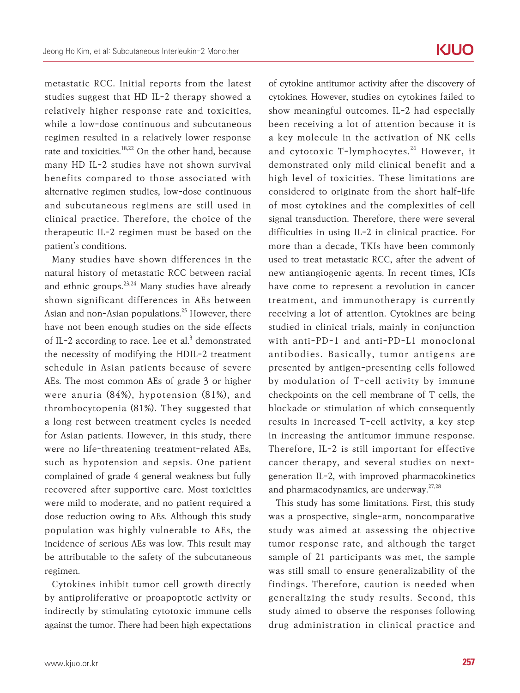metastatic RCC. Initial reports from the latest studies suggest that HD IL-2 therapy showed a relatively higher response rate and toxicities, while a low-dose continuous and subcutaneous regimen resulted in a relatively lower response rate and toxicities.<sup>18,22</sup> On the other hand, because many HD IL-2 studies have not shown survival benefits compared to those associated with alternative regimen studies, low-dose continuous and subcutaneous regimens are still used in clinical practice. Therefore, the choice of the therapeutic IL-2 regimen must be based on the patient's conditions.

Many studies have shown differences in the natural history of metastatic RCC between racial and ethnic groups. $23,24$  Many studies have already shown significant differences in AEs between Asian and non-Asian populations.<sup>25</sup> However, there have not been enough studies on the side effects of IL-2 according to race. Lee et al. $3$  demonstrated the necessity of modifying the HDIL-2 treatment schedule in Asian patients because of severe AEs. The most common AEs of grade 3 or higher were anuria (84%), hypotension (81%), and thrombocytopenia (81%). They suggested that a long rest between treatment cycles is needed for Asian patients. However, in this study, there were no life-threatening treatment-related AEs, such as hypotension and sepsis. One patient complained of grade 4 general weakness but fully recovered after supportive care. Most toxicities were mild to moderate, and no patient required a dose reduction owing to AEs. Although this study population was highly vulnerable to AEs, the incidence of serious AEs was low. This result may be attributable to the safety of the subcutaneous regimen.

Cytokines inhibit tumor cell growth directly by antiproliferative or proapoptotic activity or indirectly by stimulating cytotoxic immune cells against the tumor. There had been high expectations

of cytokine antitumor activity after the discovery of cytokines. However, studies on cytokines failed to show meaningful outcomes. IL-2 had especially been receiving a lot of attention because it is a key molecule in the activation of NK cells and cytotoxic T-lymphocytes.<sup>26</sup> However, it demonstrated only mild clinical benefit and a high level of toxicities. These limitations are considered to originate from the short half-life of most cytokines and the complexities of cell signal transduction. Therefore, there were several difficulties in using IL-2 in clinical practice. For more than a decade, TKIs have been commonly used to treat metastatic RCC, after the advent of new antiangiogenic agents. In recent times, ICIs have come to represent a revolution in cancer treatment, and immunotherapy is currently receiving a lot of attention. Cytokines are being studied in clinical trials, mainly in conjunction with anti-PD-1 and anti-PD-L1 monoclonal antibodies. Basically, tumor antigens are presented by antigen-presenting cells followed by modulation of T-cell activity by immune checkpoints on the cell membrane of T cells, the blockade or stimulation of which consequently results in increased T-cell activity, a key step in increasing the antitumor immune response. Therefore, IL-2 is still important for effective cancer therapy, and several studies on nextgeneration IL-2, with improved pharmacokinetics and pharmacodynamics, are underway. $27,28$ 

This study has some limitations. First, this study was a prospective, single-arm, noncomparative study was aimed at assessing the objective tumor response rate, and although the target sample of 21 participants was met, the sample was still small to ensure generalizability of the findings. Therefore, caution is needed when generalizing the study results. Second, this study aimed to observe the responses following drug administration in clinical practice and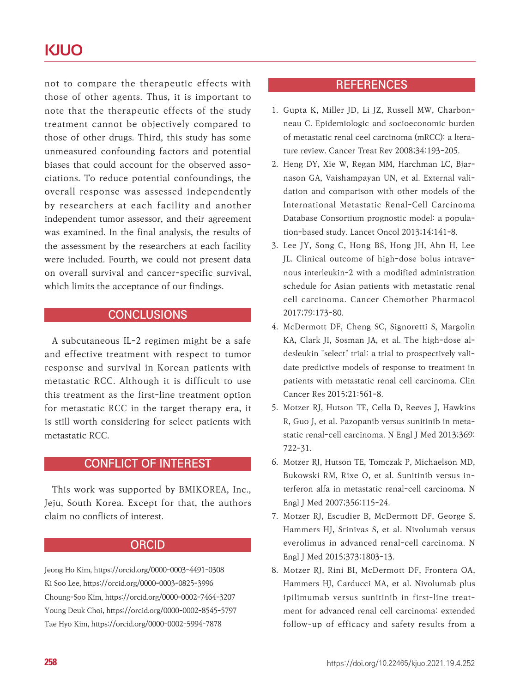## **KJUO**

not to compare the therapeutic effects with those of other agents. Thus, it is important to note that the therapeutic effects of the study treatment cannot be objectively compared to those of other drugs. Third, this study has some unmeasured confounding factors and potential biases that could account for the observed associations. To reduce potential confoundings, the overall response was assessed independently by researchers at each facility and another independent tumor assessor, and their agreement was examined. In the final analysis, the results of the assessment by the researchers at each facility were included. Fourth, we could not present data on overall survival and cancer-specific survival, which limits the acceptance of our findings.

### **CONCLUSIONS**

A subcutaneous IL-2 regimen might be a safe and effective treatment with respect to tumor response and survival in Korean patients with metastatic RCC. Although it is difficult to use this treatment as the first-line treatment option for metastatic RCC in the target therapy era, it is still worth considering for select patients with metastatic RCC.

## CONFLICT OF INTEREST

This work was supported by BMIKOREA, Inc., Jeju, South Korea. Except for that, the authors claim no conflicts of interest.

#### **ORCID**

Jeong Ho Kim, https://orcid.org/0000-0003-4491-0308 Ki Soo Lee, https://orcid.org/0000-0003-0825-3996 Choung-Soo Kim, https://orcid.org/0000-0002-7464-3207 Young Deuk Choi, https://orcid.org/0000-0002-8545-5797 Tae Hyo Kim, https://orcid.org/0000-0002-5994-7878

## **REFERENCES**

- 1. Gupta K, Miller JD, Li JZ, Russell MW, Charbonneau C. Epidemiologic and socioeconomic burden of metastatic renal ceel carcinoma (mRCC): a lterature review. Cancer Treat Rev 2008;34:193-205.
- 2. Heng DY, Xie W, Regan MM, Harchman LC, Bjarnason GA, Vaishampayan UN, et al. External validation and comparison with other models of the International Metastatic Renal-Cell Carcinoma Database Consortium prognostic model: a population-based study. Lancet Oncol 2013;14:141-8.
- 3. Lee JY, Song C, Hong BS, Hong JH, Ahn H, Lee JL. Clinical outcome of high-dose bolus intravenous interleukin-2 with a modified administration schedule for Asian patients with metastatic renal cell carcinoma. Cancer Chemother Pharmacol 2017;79:173-80.
- 4. McDermott DF, Cheng SC, Signoretti S, Margolin KA, Clark JI, Sosman JA, et al. The high-dose aldesleukin "select" trial: a trial to prospectively validate predictive models of response to treatment in patients with metastatic renal cell carcinoma. Clin Cancer Res 2015;21:561-8.
- 5. Motzer RJ, Hutson TE, Cella D, Reeves J, Hawkins R, Guo J, et al. Pazopanib versus sunitinib in metastatic renal-cell carcinoma. N Engl J Med 2013;369: 722-31.
- 6. Motzer RJ, Hutson TE, Tomczak P, Michaelson MD, Bukowski RM, Rixe O, et al. Sunitinib versus interferon alfa in metastatic renal-cell carcinoma. N Engl J Med 2007;356:115-24.
- 7. Motzer RJ, Escudier B, McDermott DF, George S, Hammers HJ, Srinivas S, et al. Nivolumab versus everolimus in advanced renal-cell carcinoma. N Engl J Med 2015;373:1803-13.
- 8. Motzer RJ, Rini BI, McDermott DF, Frontera OA, Hammers HJ, Carducci MA, et al. Nivolumab plus ipilimumab versus sunitinib in first-line treatment for advanced renal cell carcinoma: extended follow-up of efficacy and safety results from a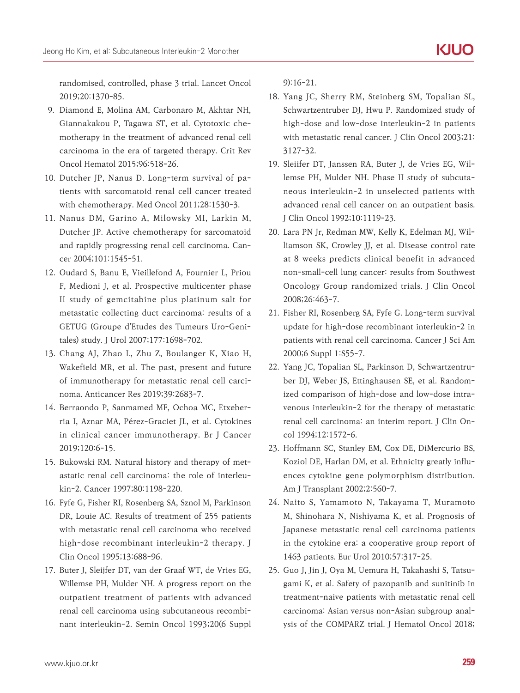randomised, controlled, phase 3 trial. Lancet Oncol 2019;20:1370-85.

- 9. Diamond E, Molina AM, Carbonaro M, Akhtar NH, Giannakakou P, Tagawa ST, et al. Cytotoxic chemotherapy in the treatment of advanced renal cell carcinoma in the era of targeted therapy. Crit Rev Oncol Hematol 2015;96:518-26.
- 10. Dutcher JP, Nanus D. Long-term survival of patients with sarcomatoid renal cell cancer treated with chemotherapy. Med Oncol 2011;28:1530-3.
- 11. Nanus DM, Garino A, Milowsky MI, Larkin M, Dutcher JP. Active chemotherapy for sarcomatoid and rapidly progressing renal cell carcinoma. Cancer 2004;101:1545-51.
- 12. Oudard S, Banu E, Vieillefond A, Fournier L, Priou F, Medioni J, et al. Prospective multicenter phase II study of gemcitabine plus platinum salt for metastatic collecting duct carcinoma: results of a GETUG (Groupe d'Etudes des Tumeurs Uro-Genitales) study. J Urol 2007;177:1698-702.
- 13. Chang AJ, Zhao L, Zhu Z, Boulanger K, Xiao H, Wakefield MR, et al. The past, present and future of immunotherapy for metastatic renal cell carcinoma. Anticancer Res 2019;39:2683-7.
- 14. Berraondo P, Sanmamed MF, Ochoa MC, Etxeberria I, Aznar MA, Pérez-Graciet JL, et al. Cytokines in clinical cancer immunotherapy. Br J Cancer 2019;120:6-15.
- 15. Bukowski RM. Natural history and therapy of metastatic renal cell carcinoma: the role of interleukin-2. Cancer 1997;80:1198-220.
- 16. Fyfe G, Fisher RI, Rosenberg SA, Sznol M, Parkinson DR, Louie AC. Results of treatment of 255 patients with metastatic renal cell carcinoma who received high-dose recombinant interleukin-2 therapy. J Clin Oncol 1995;13:688-96.
- 17. Buter J, Sleijfer DT, van der Graaf WT, de Vries EG, Willemse PH, Mulder NH. A progress report on the outpatient treatment of patients with advanced renal cell carcinoma using subcutaneous recombinant interleukin-2. Semin Oncol 1993;20(6 Suppl

9):16-21.

- 18. Yang JC, Sherry RM, Steinberg SM, Topalian SL, Schwartzentruber DJ, Hwu P. Randomized study of high-dose and low-dose interleukin-2 in patients with metastatic renal cancer. J Clin Oncol 2003;21: 3127-32.
- 19. Sleiifer DT, Janssen RA, Buter J, de Vries EG, Willemse PH, Mulder NH. Phase II study of subcutaneous interleukin-2 in unselected patients with advanced renal cell cancer on an outpatient basis. J Clin Oncol 1992;10:1119-23.
- 20. Lara PN Jr, Redman MW, Kelly K, Edelman MJ, Williamson SK, Crowley JJ, et al. Disease control rate at 8 weeks predicts clinical benefit in advanced non-small-cell lung cancer: results from Southwest Oncology Group randomized trials. J Clin Oncol 2008;26:463-7.
- 21. Fisher RI, Rosenberg SA, Fyfe G. Long-term survival update for high-dose recombinant interleukin-2 in patients with renal cell carcinoma. Cancer J Sci Am 2000;6 Suppl 1:S55-7.
- 22. Yang JC, Topalian SL, Parkinson D, Schwartzentruber DJ, Weber JS, Ettinghausen SE, et al. Randomized comparison of high-dose and low-dose intravenous interleukin-2 for the therapy of metastatic renal cell carcinoma: an interim report. J Clin Oncol 1994;12:1572-6.
- 23. Hoffmann SC, Stanley EM, Cox DE, DiMercurio BS, Koziol DE, Harlan DM, et al. Ethnicity greatly influences cytokine gene polymorphism distribution. Am J Transplant 2002;2:560-7.
- 24. Naito S, Yamamoto N, Takayama T, Muramoto M, Shinohara N, Nishiyama K, et al. Prognosis of Japanese metastatic renal cell carcinoma patients in the cytokine era: a cooperative group report of 1463 patients. Eur Urol 2010;57:317-25.
- 25. Guo J, Jin J, Oya M, Uemura H, Takahashi S, Tatsugami K, et al. Safety of pazopanib and sunitinib in treatment-naive patients with metastatic renal cell carcinoma: Asian versus non-Asian subgroup analysis of the COMPARZ trial. J Hematol Oncol 2018;